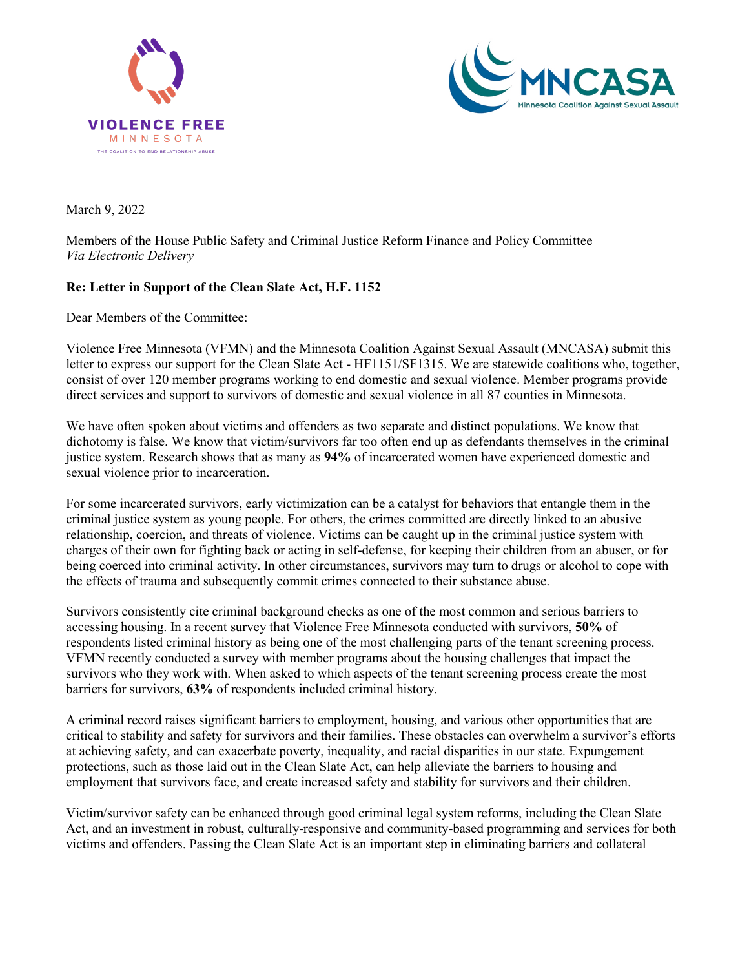



March 9, 2022

Members of the House Public Safety and Criminal Justice Reform Finance and Policy Committee *Via Electronic Delivery*

## **Re: Letter in Support of the Clean Slate Act, H.F. 1152**

Dear Members of the Committee:

Violence Free Minnesota (VFMN) and the Minnesota Coalition Against Sexual Assault (MNCASA) submit this letter to express our support for the Clean Slate Act - HF1151/SF1315. We are statewide coalitions who, together, consist of over 120 member programs working to end domestic and sexual violence. Member programs provide direct services and support to survivors of domestic and sexual violence in all 87 counties in Minnesota.

We have often spoken about victims and offenders as two separate and distinct populations. We know that dichotomy is false. We know that victim/survivors far too often end up as defendants themselves in the criminal justice system. Research shows that as many as **94%** of incarcerated women have experienced domestic and sexual violence prior to incarceration.

For some incarcerated survivors, early victimization can be a catalyst for behaviors that entangle them in the criminal justice system as young people. For others, the crimes committed are directly linked to an abusive relationship, coercion, and threats of violence. Victims can be caught up in the criminal justice system with charges of their own for fighting back or acting in self-defense, for keeping their children from an abuser, or for being coerced into criminal activity. In other circumstances, survivors may turn to drugs or alcohol to cope with the effects of trauma and subsequently commit crimes connected to their substance abuse.

Survivors consistently cite criminal background checks as one of the most common and serious barriers to accessing housing. In a recent survey that Violence Free Minnesota conducted with survivors, **50%** of respondents listed criminal history as being one of the most challenging parts of the tenant screening process. VFMN recently conducted a survey with member programs about the housing challenges that impact the survivors who they work with. When asked to which aspects of the tenant screening process create the most barriers for survivors, **63%** of respondents included criminal history.

A criminal record raises significant barriers to employment, housing, and various other opportunities that are critical to stability and safety for survivors and their families. These obstacles can overwhelm a survivor's efforts at achieving safety, and can exacerbate poverty, inequality, and racial disparities in our state. Expungement protections, such as those laid out in the Clean Slate Act, can help alleviate the barriers to housing and employment that survivors face, and create increased safety and stability for survivors and their children.

Victim/survivor safety can be enhanced through good criminal legal system reforms, including the Clean Slate Act, and an investment in robust, culturally-responsive and community-based programming and services for both victims and offenders. Passing the Clean Slate Act is an important step in eliminating barriers and collateral